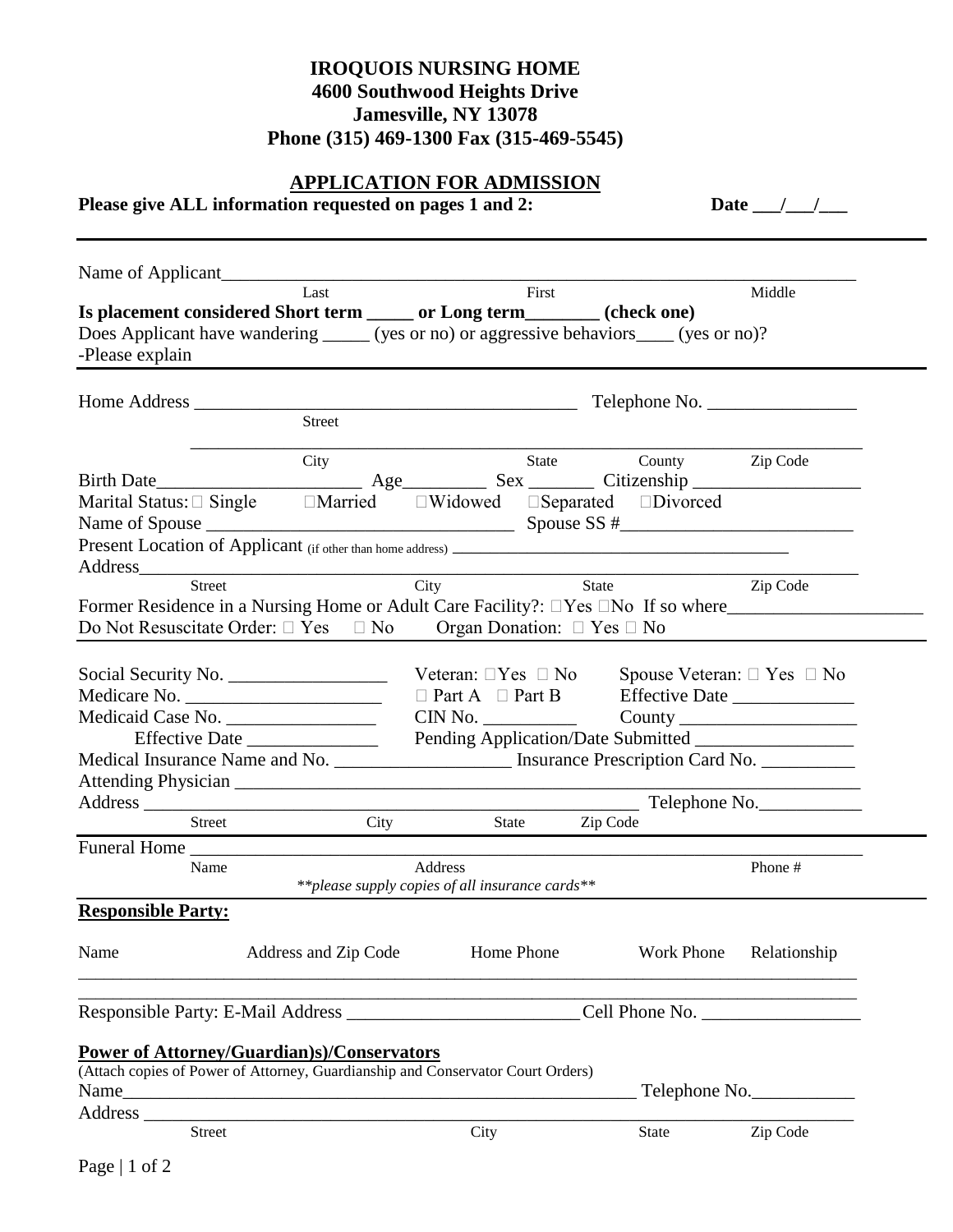## **IROQUOIS NURSING HOME 4600 Southwood Heights Drive Jamesville, NY 13078 Phone (315) 469-1300 Fax (315-469-5545)**

# **APPLICATION FOR ADMISSION**

**Please give ALL information requested on pages 1 and 2: Date \_\_\_/\_\_\_/\_\_\_**

|                                                                                                                                                                                              | Last                 | First                                                              |                | Middle        |
|----------------------------------------------------------------------------------------------------------------------------------------------------------------------------------------------|----------------------|--------------------------------------------------------------------|----------------|---------------|
| Is placement considered Short term ______ or Long term________ (check one)<br>Does Applicant have wandering ______ (yes or no) or aggressive behaviors _____ (yes or no)?<br>-Please explain |                      |                                                                    |                |               |
|                                                                                                                                                                                              |                      |                                                                    |                |               |
|                                                                                                                                                                                              | Street               |                                                                    |                |               |
|                                                                                                                                                                                              | City                 | State                                                              | County         | Zip Code      |
| Birth Date                                                                                                                                                                                   |                      |                                                                    |                |               |
| Marital Status: $\Box$ Single $\Box$ Married $\Box$ Widowed $\Box$ Separated $\Box$ Divorced                                                                                                 |                      |                                                                    |                |               |
|                                                                                                                                                                                              |                      |                                                                    |                |               |
|                                                                                                                                                                                              |                      |                                                                    |                |               |
| Address Street City                                                                                                                                                                          |                      |                                                                    | State          | Zip Code      |
| Former Residence in a Nursing Home or Adult Care Facility?: □Yes □No If so where___________________                                                                                          |                      |                                                                    |                |               |
| Do Not Resuscitate Order: $\Box$ Yes $\Box$ No Organ Donation: $\Box$ Yes $\Box$ No                                                                                                          |                      |                                                                    |                |               |
|                                                                                                                                                                                              |                      |                                                                    |                |               |
| Social Security No.                                                                                                                                                                          |                      | Veteran: $\Box$ Yes $\Box$ No Spouse Veteran: $\Box$ Yes $\Box$ No |                |               |
| Medicare No.                                                                                                                                                                                 |                      |                                                                    |                |               |
|                                                                                                                                                                                              |                      | $CIN No.$ $\qquad \qquad \text{Country} \qquad \qquad$             |                |               |
|                                                                                                                                                                                              |                      |                                                                    |                |               |
| Medical Insurance Name and No. _______________________ Insurance Prescription Card No. ____________                                                                                          |                      |                                                                    |                |               |
|                                                                                                                                                                                              |                      |                                                                    |                |               |
|                                                                                                                                                                                              |                      |                                                                    |                |               |
| Street                                                                                                                                                                                       |                      | $City$ $\qquad \qquad$<br>State Zip Code                           |                |               |
| Funeral Home                                                                                                                                                                                 |                      |                                                                    |                |               |
| Name                                                                                                                                                                                         |                      | Address                                                            |                | Phone #       |
|                                                                                                                                                                                              |                      | ** please supply copies of all insurance cards**                   |                |               |
| <b>Responsible Party:</b>                                                                                                                                                                    |                      |                                                                    |                |               |
| Name                                                                                                                                                                                         | Address and Zip Code | Home Phone                                                         | Work Phone     | Relationship  |
| Responsible Party: E-Mail Address                                                                                                                                                            |                      |                                                                    | Cell Phone No. |               |
| <b>Power of Attorney/Guardian)s)/Conservators</b>                                                                                                                                            |                      |                                                                    |                |               |
| (Attach copies of Power of Attorney, Guardianship and Conservator Court Orders)                                                                                                              |                      |                                                                    |                |               |
|                                                                                                                                                                                              |                      |                                                                    |                | Telephone No. |
| Address                                                                                                                                                                                      |                      |                                                                    |                |               |
| <b>Street</b>                                                                                                                                                                                |                      | City                                                               | State          | Zip Code      |
|                                                                                                                                                                                              |                      |                                                                    |                |               |